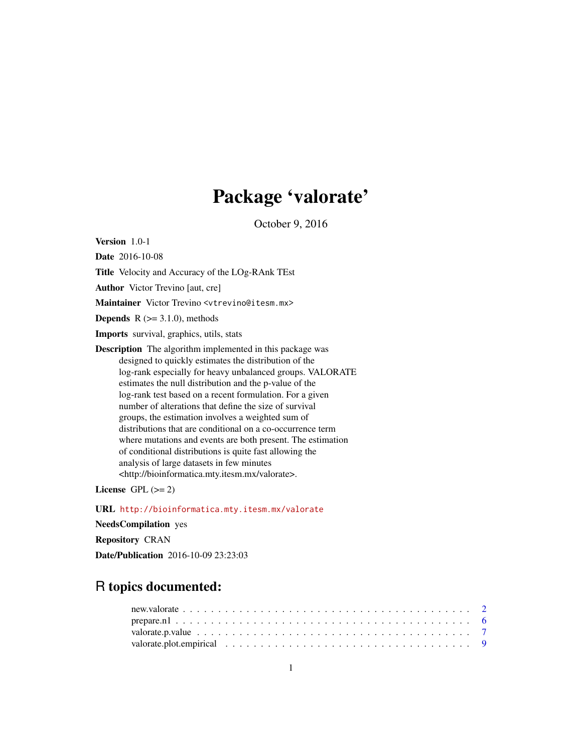## Package 'valorate'

October 9, 2016

<span id="page-0-0"></span>Version 1.0-1

Date 2016-10-08

Title Velocity and Accuracy of the LOg-RAnk TEst

Author Victor Trevino [aut, cre]

Maintainer Victor Trevino <vtrevino@itesm.mx>

**Depends**  $R$  ( $>= 3.1.0$ ), methods

Imports survival, graphics, utils, stats

Description The algorithm implemented in this package was designed to quickly estimates the distribution of the log-rank especially for heavy unbalanced groups. VALORATE estimates the null distribution and the p-value of the log-rank test based on a recent formulation. For a given number of alterations that define the size of survival groups, the estimation involves a weighted sum of distributions that are conditional on a co-occurrence term where mutations and events are both present. The estimation of conditional distributions is quite fast allowing the analysis of large datasets in few minutes <http://bioinformatica.mty.itesm.mx/valorate>.

License GPL  $(>= 2)$ 

URL <http://bioinformatica.mty.itesm.mx/valorate> NeedsCompilation yes

Repository CRAN

Date/Publication 2016-10-09 23:23:03

### R topics documented: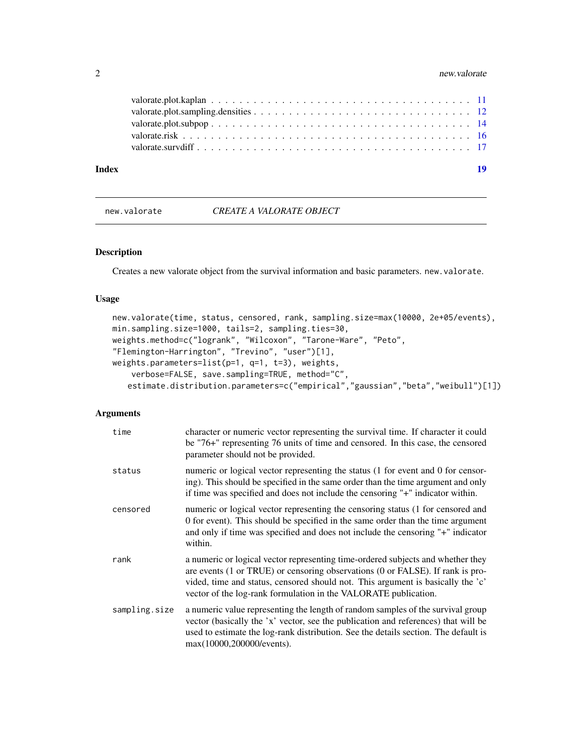#### <span id="page-1-0"></span>2 new.valorate 2

| Index |                                                                                                                                                                                                                                | 10 |
|-------|--------------------------------------------------------------------------------------------------------------------------------------------------------------------------------------------------------------------------------|----|
|       | valorate survdiff enterprise on the context of the context of the context of the context of the context of the context of the context of the context of the context of the context of the context of the context of the contex |    |
|       |                                                                                                                                                                                                                                |    |
|       |                                                                                                                                                                                                                                |    |
|       |                                                                                                                                                                                                                                |    |
|       |                                                                                                                                                                                                                                |    |

#### <span id="page-1-1"></span>new.valorate *CREATE A VALORATE OBJECT*

#### Description

Creates a new valorate object from the survival information and basic parameters. new.valorate.

#### Usage

```
new.valorate(time, status, censored, rank, sampling.size=max(10000, 2e+05/events),
min.sampling.size=1000, tails=2, sampling.ties=30,
weights.method=c("logrank", "Wilcoxon", "Tarone-Ware", "Peto",
"Flemington-Harrington", "Trevino", "user")[1],
weights.parameters=list(p=1, q=1, t=3), weights,
   verbose=FALSE, save.sampling=TRUE, method="C",
   estimate.distribution.parameters=c("empirical","gaussian","beta","weibull")[1])
```

| time          | character or numeric vector representing the survival time. If character it could<br>be "76+" representing 76 units of time and censored. In this case, the censored<br>parameter should not be provided.                                                                                                               |
|---------------|-------------------------------------------------------------------------------------------------------------------------------------------------------------------------------------------------------------------------------------------------------------------------------------------------------------------------|
| status        | numeric or logical vector representing the status (1 for event and 0 for censor-<br>ing). This should be specified in the same order than the time argument and only<br>if time was specified and does not include the censoring "+" indicator within.                                                                  |
| censored      | numeric or logical vector representing the censoring status (1 for censored and<br>0 for event). This should be specified in the same order than the time argument<br>and only if time was specified and does not include the censoring "+" indicator<br>within.                                                        |
| rank          | a numeric or logical vector representing time-ordered subjects and whether they<br>are events (1 or TRUE) or censoring observations (0 or FALSE). If rank is pro-<br>vided, time and status, censored should not. This argument is basically the 'c'<br>vector of the log-rank formulation in the VALORATE publication. |
| sampling.size | a numeric value representing the length of random samples of the survival group<br>vector (basically the 'x' vector, see the publication and references) that will be<br>used to estimate the log-rank distribution. See the details section. The default is<br>max(10000,200000/events).                               |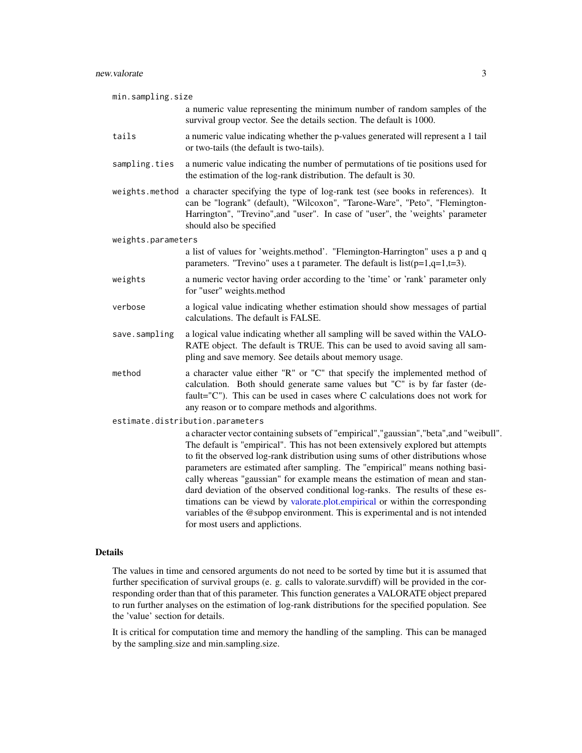<span id="page-2-0"></span>

| min.sampling.size  |                                                                                                                                                                                                                                                                                                                                                                                                                                                                                                                                                                                                                                                                                                                         |
|--------------------|-------------------------------------------------------------------------------------------------------------------------------------------------------------------------------------------------------------------------------------------------------------------------------------------------------------------------------------------------------------------------------------------------------------------------------------------------------------------------------------------------------------------------------------------------------------------------------------------------------------------------------------------------------------------------------------------------------------------------|
|                    | a numeric value representing the minimum number of random samples of the<br>survival group vector. See the details section. The default is 1000.                                                                                                                                                                                                                                                                                                                                                                                                                                                                                                                                                                        |
| tails              | a numeric value indicating whether the p-values generated will represent a 1 tail<br>or two-tails (the default is two-tails).                                                                                                                                                                                                                                                                                                                                                                                                                                                                                                                                                                                           |
| sampling.ties      | a numeric value indicating the number of permutations of tie positions used for<br>the estimation of the log-rank distribution. The default is 30.                                                                                                                                                                                                                                                                                                                                                                                                                                                                                                                                                                      |
|                    | weights.method a character specifying the type of log-rank test (see books in references). It<br>can be "logrank" (default), "Wilcoxon", "Tarone-Ware", "Peto", "Flemington-<br>Harrington", "Trevino", and "user". In case of "user", the 'weights' parameter<br>should also be specified                                                                                                                                                                                                                                                                                                                                                                                                                              |
| weights.parameters |                                                                                                                                                                                                                                                                                                                                                                                                                                                                                                                                                                                                                                                                                                                         |
|                    | a list of values for 'weights.method'. "Flemington-Harrington" uses a p and q<br>parameters. "Trevino" uses a t parameter. The default is $list(p=1,q=1,t=3)$ .                                                                                                                                                                                                                                                                                                                                                                                                                                                                                                                                                         |
| weights            | a numeric vector having order according to the 'time' or 'rank' parameter only<br>for "user" weights.method                                                                                                                                                                                                                                                                                                                                                                                                                                                                                                                                                                                                             |
| verbose            | a logical value indicating whether estimation should show messages of partial<br>calculations. The default is FALSE.                                                                                                                                                                                                                                                                                                                                                                                                                                                                                                                                                                                                    |
| save.sampling      | a logical value indicating whether all sampling will be saved within the VALO-<br>RATE object. The default is TRUE. This can be used to avoid saving all sam-<br>pling and save memory. See details about memory usage.                                                                                                                                                                                                                                                                                                                                                                                                                                                                                                 |
| method             | a character value either "R" or "C" that specify the implemented method of<br>calculation. Both should generate same values but "C" is by far faster (de-<br>fault=" $C$ "). This can be used in cases where $C$ calculations does not work for<br>any reason or to compare methods and algorithms.                                                                                                                                                                                                                                                                                                                                                                                                                     |
|                    | estimate.distribution.parameters                                                                                                                                                                                                                                                                                                                                                                                                                                                                                                                                                                                                                                                                                        |
|                    | a character vector containing subsets of "empirical", "gaussian", "beta", and "weibull".<br>The default is "empirical". This has not been extensively explored but attempts<br>to fit the observed log-rank distribution using sums of other distributions whose<br>parameters are estimated after sampling. The "empirical" means nothing basi-<br>cally whereas "gaussian" for example means the estimation of mean and stan-<br>dard deviation of the observed conditional log-ranks. The results of these es-<br>timations can be viewd by valorate.plot.empirical or within the corresponding<br>variables of the @subpop environment. This is experimental and is not intended<br>for most users and applictions. |
|                    |                                                                                                                                                                                                                                                                                                                                                                                                                                                                                                                                                                                                                                                                                                                         |

The values in time and censored arguments do not need to be sorted by time but it is assumed that further specification of survival groups (e. g. calls to valorate.survdiff) will be provided in the corresponding order than that of this parameter. This function generates a VALORATE object prepared to run further analyses on the estimation of log-rank distributions for the specified population. See the 'value' section for details.

It is critical for computation time and memory the handling of the sampling. This can be managed by the sampling.size and min.sampling.size.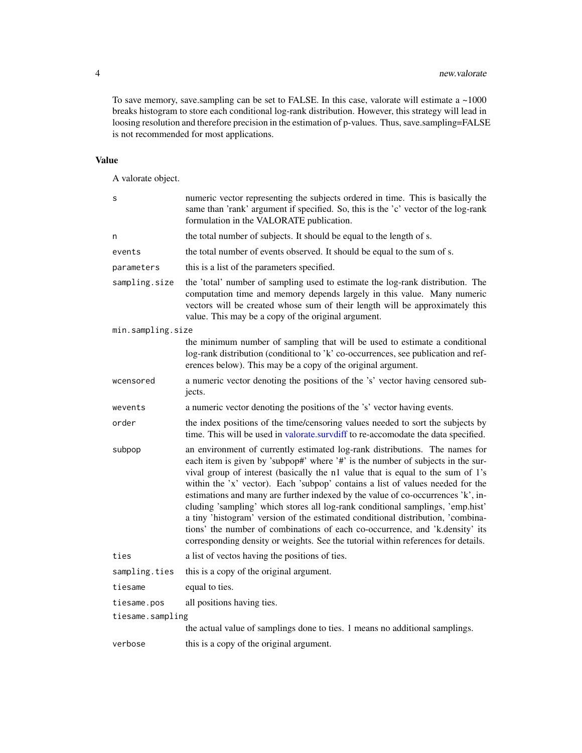To save memory, save.sampling can be set to FALSE. In this case, valorate will estimate a  $\sim$ 1000 breaks histogram to store each conditional log-rank distribution. However, this strategy will lead in loosing resolution and therefore precision in the estimation of p-values. Thus, save.sampling=FALSE is not recommended for most applications.

#### Value

A valorate object.

| S                 | numeric vector representing the subjects ordered in time. This is basically the<br>same than 'rank' argument if specified. So, this is the 'c' vector of the log-rank<br>formulation in the VALORATE publication.                                                                                                                                                                                                                                                                                                                                                                                                                                                                                                                                                 |
|-------------------|-------------------------------------------------------------------------------------------------------------------------------------------------------------------------------------------------------------------------------------------------------------------------------------------------------------------------------------------------------------------------------------------------------------------------------------------------------------------------------------------------------------------------------------------------------------------------------------------------------------------------------------------------------------------------------------------------------------------------------------------------------------------|
| n                 | the total number of subjects. It should be equal to the length of s.                                                                                                                                                                                                                                                                                                                                                                                                                                                                                                                                                                                                                                                                                              |
| events            | the total number of events observed. It should be equal to the sum of s.                                                                                                                                                                                                                                                                                                                                                                                                                                                                                                                                                                                                                                                                                          |
| parameters        | this is a list of the parameters specified.                                                                                                                                                                                                                                                                                                                                                                                                                                                                                                                                                                                                                                                                                                                       |
| sampling.size     | the 'total' number of sampling used to estimate the log-rank distribution. The<br>computation time and memory depends largely in this value. Many numeric<br>vectors will be created whose sum of their length will be approximately this<br>value. This may be a copy of the original argument.                                                                                                                                                                                                                                                                                                                                                                                                                                                                  |
| min.sampling.size |                                                                                                                                                                                                                                                                                                                                                                                                                                                                                                                                                                                                                                                                                                                                                                   |
|                   | the minimum number of sampling that will be used to estimate a conditional<br>log-rank distribution (conditional to 'k' co-occurrences, see publication and ref-<br>erences below). This may be a copy of the original argument.                                                                                                                                                                                                                                                                                                                                                                                                                                                                                                                                  |
| wcensored         | a numeric vector denoting the positions of the 's' vector having censored sub-<br>jects.                                                                                                                                                                                                                                                                                                                                                                                                                                                                                                                                                                                                                                                                          |
| wevents           | a numeric vector denoting the positions of the 's' vector having events.                                                                                                                                                                                                                                                                                                                                                                                                                                                                                                                                                                                                                                                                                          |
| order             | the index positions of the time/censoring values needed to sort the subjects by<br>time. This will be used in valorate.survdiff to re-accomodate the data specified.                                                                                                                                                                                                                                                                                                                                                                                                                                                                                                                                                                                              |
| subpop            | an environment of currently estimated log-rank distributions. The names for<br>each item is given by 'subpop#' where '#' is the number of subjects in the sur-<br>vival group of interest (basically the n1 value that is equal to the sum of 1's<br>within the 'x' vector). Each 'subpop' contains a list of values needed for the<br>estimations and many are further indexed by the value of co-occurrences 'k', in-<br>cluding 'sampling' which stores all log-rank conditional samplings, 'emp.hist'<br>a tiny 'histogram' version of the estimated conditional distribution, 'combina-<br>tions' the number of combinations of each co-occurrence, and 'k.density' its<br>corresponding density or weights. See the tutorial within references for details. |
| ties              | a list of vectos having the positions of ties.                                                                                                                                                                                                                                                                                                                                                                                                                                                                                                                                                                                                                                                                                                                    |
| sampling.ties     | this is a copy of the original argument.                                                                                                                                                                                                                                                                                                                                                                                                                                                                                                                                                                                                                                                                                                                          |
| tiesame           | equal to ties.                                                                                                                                                                                                                                                                                                                                                                                                                                                                                                                                                                                                                                                                                                                                                    |
| tiesame.pos       | all positions having ties.                                                                                                                                                                                                                                                                                                                                                                                                                                                                                                                                                                                                                                                                                                                                        |
| tiesame.sampling  |                                                                                                                                                                                                                                                                                                                                                                                                                                                                                                                                                                                                                                                                                                                                                                   |
|                   | the actual value of samplings done to ties. 1 means no additional samplings.                                                                                                                                                                                                                                                                                                                                                                                                                                                                                                                                                                                                                                                                                      |
| verbose           | this is a copy of the original argument.                                                                                                                                                                                                                                                                                                                                                                                                                                                                                                                                                                                                                                                                                                                          |

<span id="page-3-0"></span>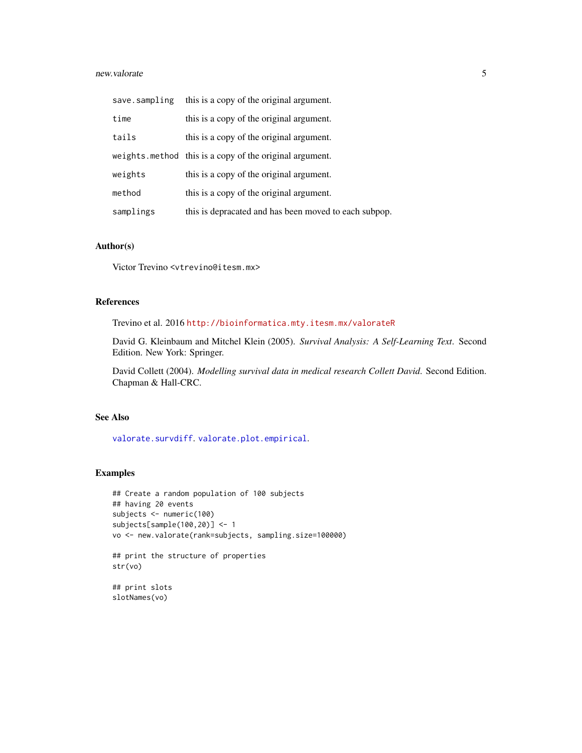#### <span id="page-4-0"></span>new.valorate 5

| save.sampling | this is a copy of the original argument.                |
|---------------|---------------------------------------------------------|
| time          | this is a copy of the original argument.                |
| tails         | this is a copy of the original argument.                |
|               | weights.method this is a copy of the original argument. |
| weights       | this is a copy of the original argument.                |
| method        | this is a copy of the original argument.                |
| samplings     | this is depracated and has been moved to each subpop.   |

#### Author(s)

Victor Trevino <vtrevino@itesm.mx>

#### References

Trevino et al. 2016 <http://bioinformatica.mty.itesm.mx/valorateR>

David G. Kleinbaum and Mitchel Klein (2005). *Survival Analysis: A Self-Learning Text*. Second Edition. New York: Springer.

David Collett (2004). *Modelling survival data in medical research Collett David*. Second Edition. Chapman & Hall-CRC.

#### See Also

[valorate.survdiff](#page-16-1). [valorate.plot.empirical](#page-8-1).

#### Examples

```
## Create a random population of 100 subjects
## having 20 events
subjects <- numeric(100)
subjects[sample(100,20)] <- 1
vo <- new.valorate(rank=subjects, sampling.size=100000)
## print the structure of properties
str(vo)
## print slots
slotNames(vo)
```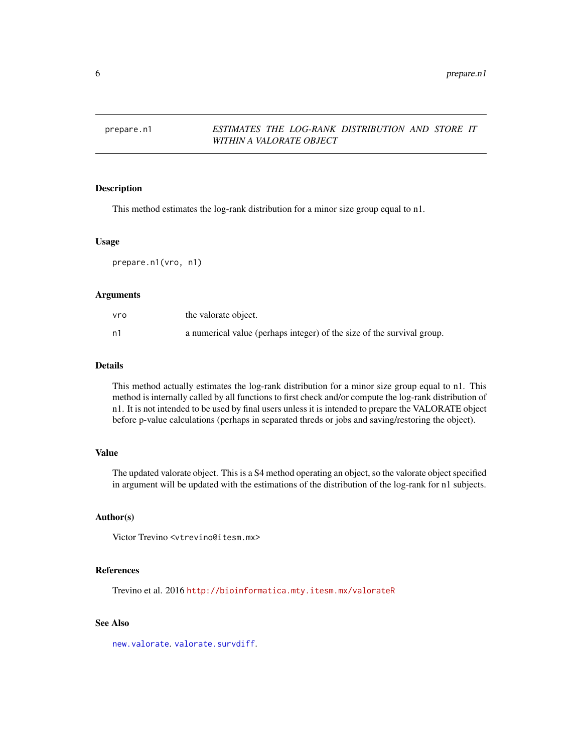#### <span id="page-5-1"></span><span id="page-5-0"></span>prepare.n1 *ESTIMATES THE LOG-RANK DISTRIBUTION AND STORE IT WITHIN A VALORATE OBJECT*

#### Description

This method estimates the log-rank distribution for a minor size group equal to n1.

#### Usage

prepare.n1(vro, n1)

#### Arguments

| vro | the valorate object.                                                   |
|-----|------------------------------------------------------------------------|
| n1  | a numerical value (perhaps integer) of the size of the survival group. |

#### Details

This method actually estimates the log-rank distribution for a minor size group equal to n1. This method is internally called by all functions to first check and/or compute the log-rank distribution of n1. It is not intended to be used by final users unless it is intended to prepare the VALORATE object before p-value calculations (perhaps in separated threds or jobs and saving/restoring the object).

#### Value

The updated valorate object. This is a S4 method operating an object, so the valorate object specified in argument will be updated with the estimations of the distribution of the log-rank for n1 subjects.

#### Author(s)

Victor Trevino <vtrevino@itesm.mx>

#### References

Trevino et al. 2016 <http://bioinformatica.mty.itesm.mx/valorateR>

#### See Also

[new.valorate](#page-1-1).[valorate.survdiff](#page-16-1).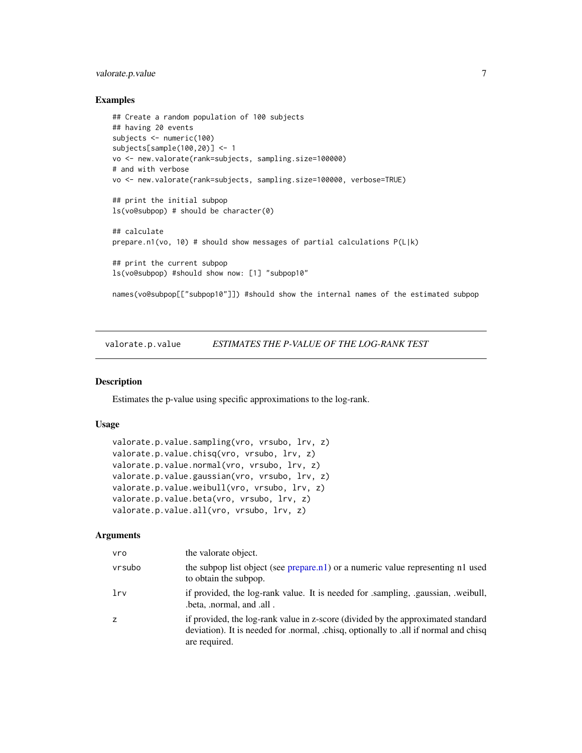#### <span id="page-6-0"></span>valorate.p.value 7

#### Examples

```
## Create a random population of 100 subjects
## having 20 events
subjects <- numeric(100)
subjects[sample(100,20)] <- 1
vo <- new.valorate(rank=subjects, sampling.size=100000)
# and with verbose
vo <- new.valorate(rank=subjects, sampling.size=100000, verbose=TRUE)
## print the initial subpop
ls(vo@subpop) # should be character(0)
## calculate
prepare.n1(vo, 10) # should show messages of partial calculations P(L|k)
## print the current subpop
ls(vo@subpop) #should show now: [1] "subpop10"
```
names(vo@subpop[["subpop10"]]) #should show the internal names of the estimated subpop

<span id="page-6-1"></span>valorate.p.value *ESTIMATES THE P-VALUE OF THE LOG-RANK TEST*

#### <span id="page-6-2"></span>Description

Estimates the p-value using specific approximations to the log-rank.

#### Usage

```
valorate.p.value.sampling(vro, vrsubo, lrv, z)
valorate.p.value.chisq(vro, vrsubo, lrv, z)
valorate.p.value.normal(vro, vrsubo, lrv, z)
valorate.p.value.gaussian(vro, vrsubo, lrv, z)
valorate.p.value.weibull(vro, vrsubo, lrv, z)
valorate.p.value.beta(vro, vrsubo, lrv, z)
valorate.p.value.all(vro, vrsubo, lrv, z)
```

| vro    | the valorate object.                                                                                                                                                                      |
|--------|-------------------------------------------------------------------------------------------------------------------------------------------------------------------------------------------|
| vrsubo | the subpop list object (see prepare.n1) or a numeric value representing n1 used<br>to obtain the subpop.                                                                                  |
| lrv    | if provided, the log-rank value. It is needed for sampling, gaussian, weibull,<br>.beta, .normal, and .all.                                                                               |
| Z      | if provided, the log-rank value in z-score (divided by the approximated standard<br>deviation). It is needed for .normal, .chisq, optionally to .all if normal and chisq<br>are required. |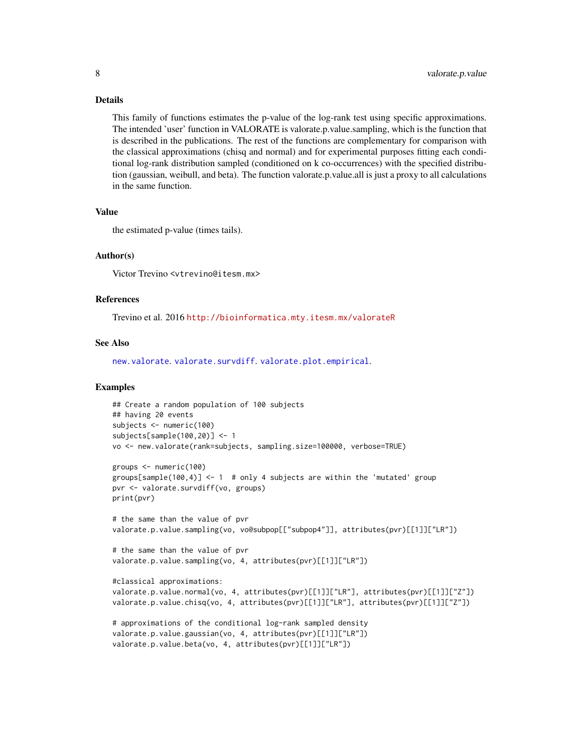This family of functions estimates the p-value of the log-rank test using specific approximations. The intended 'user' function in VALORATE is valorate.p.value.sampling, which is the function that is described in the publications. The rest of the functions are complementary for comparison with the classical approximations (chisq and normal) and for experimental purposes fitting each conditional log-rank distribution sampled (conditioned on k co-occurrences) with the specified distribution (gaussian, weibull, and beta). The function valorate.p.value.all is just a proxy to all calculations in the same function.

#### Value

the estimated p-value (times tails).

#### Author(s)

Victor Trevino <vtrevino@itesm.mx>

#### References

Trevino et al. 2016 <http://bioinformatica.mty.itesm.mx/valorateR>

#### See Also

[new.valorate](#page-1-1). [valorate.survdiff](#page-16-1). [valorate.plot.empirical](#page-8-1).

#### Examples

```
## Create a random population of 100 subjects
## having 20 events
subjects <- numeric(100)
subjects[sample(100,20)] <- 1
vo <- new.valorate(rank=subjects, sampling.size=100000, verbose=TRUE)
groups <- numeric(100)
groups[sample(100,4)] \leq -1 # only 4 subjects are within the 'mutated' group
pvr <- valorate.survdiff(vo, groups)
print(pvr)
# the same than the value of pvr
valorate.p.value.sampling(vo, vo@subpop[["subpop4"]], attributes(pvr)[[1]]["LR"])
# the same than the value of pvr
valorate.p.value.sampling(vo, 4, attributes(pvr)[[1]]["LR"])
#classical approximations:
valorate.p.value.normal(vo, 4, attributes(pvr)[[1]]["LR"], attributes(pvr)[[1]]["Z"])
valorate.p.value.chisq(vo, 4, attributes(pvr)[[1]]["LR"], attributes(pvr)[[1]]["Z"])
# approximations of the conditional log-rank sampled density
valorate.p.value.gaussian(vo, 4, attributes(pvr)[[1]]["LR"])
valorate.p.value.beta(vo, 4, attributes(pvr)[[1]]["LR"])
```
<span id="page-7-0"></span>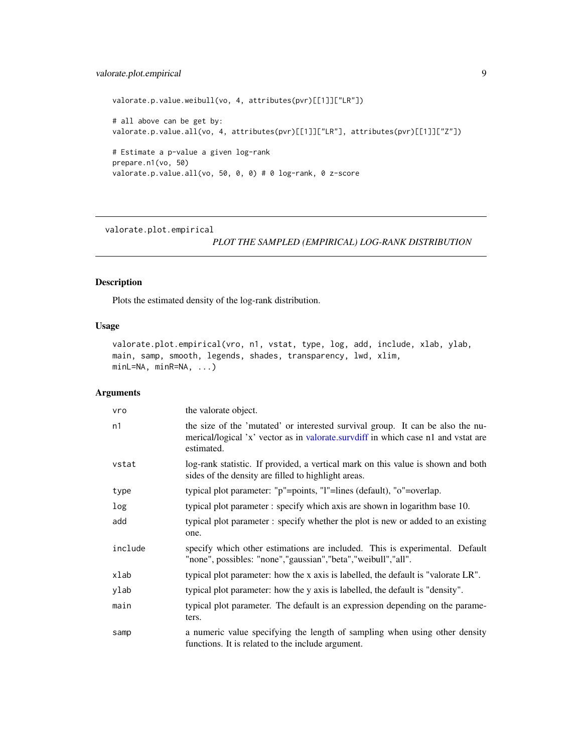#### <span id="page-8-0"></span>valorate.plot.empirical 9

```
valorate.p.value.weibull(vo, 4, attributes(pvr)[[1]]["LR"])
# all above can be get by:
valorate.p.value.all(vo, 4, attributes(pvr)[[1]]["LR"], attributes(pvr)[[1]]["Z"])
# Estimate a p-value a given log-rank
prepare.n1(vo, 50)
valorate.p.value.all(vo, 50, 0, 0) # 0 log-rank, 0 z-score
```
<span id="page-8-1"></span>valorate.plot.empirical

#### *PLOT THE SAMPLED (EMPIRICAL) LOG-RANK DISTRIBUTION*

#### Description

Plots the estimated density of the log-rank distribution.

#### Usage

valorate.plot.empirical(vro, n1, vstat, type, log, add, include, xlab, ylab, main, samp, smooth, legends, shades, transparency, lwd, xlim, minL=NA, minR=NA, ...)

| vro     | the valorate object.                                                                                                                                                              |
|---------|-----------------------------------------------------------------------------------------------------------------------------------------------------------------------------------|
| n1      | the size of the 'mutated' or interested survival group. It can be also the nu-<br>merical/logical 'x' vector as in valorate.survdiff in which case n1 and vstat are<br>estimated. |
| vstat   | log-rank statistic. If provided, a vertical mark on this value is shown and both<br>sides of the density are filled to highlight areas.                                           |
| type    | typical plot parameter: "p"=points, "l"=lines (default), "o"=overlap.                                                                                                             |
| log     | typical plot parameter: specify which axis are shown in logarithm base 10.                                                                                                        |
| add     | typical plot parameter: specify whether the plot is new or added to an existing<br>one.                                                                                           |
| include | specify which other estimations are included. This is experimental. Default<br>"none", possibles: "none", "gaussian", "beta", "weibull", "all".                                   |
| xlab    | typical plot parameter: how the x axis is labelled, the default is "valorate LR".                                                                                                 |
| ylab    | typical plot parameter: how the y axis is labelled, the default is "density".                                                                                                     |
| main    | typical plot parameter. The default is an expression depending on the parame-<br>ters.                                                                                            |
| samp    | a numeric value specifying the length of sampling when using other density<br>functions. It is related to the include argument.                                                   |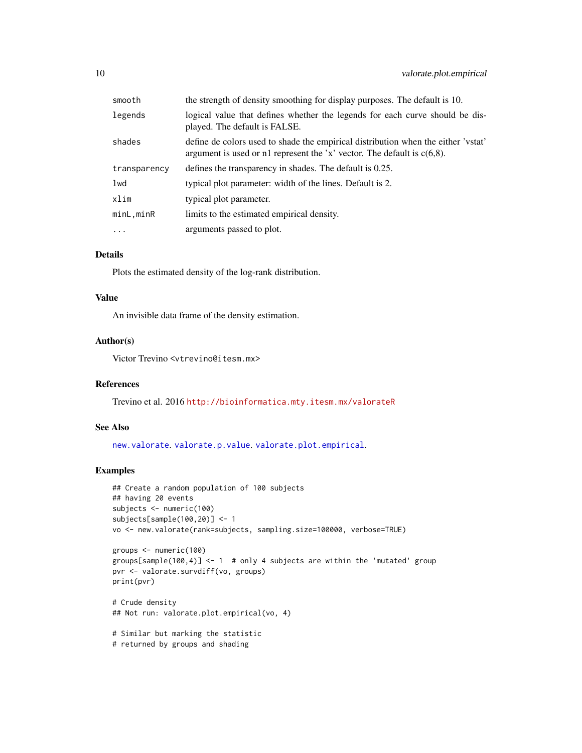<span id="page-9-0"></span>

| smooth       | the strength of density smoothing for display purposes. The default is 10.                                                                                      |
|--------------|-----------------------------------------------------------------------------------------------------------------------------------------------------------------|
| legends      | logical value that defines whether the legends for each curve should be dis-<br>played. The default is FALSE.                                                   |
| shades       | define de colors used to shade the empirical distribution when the either 'vetat'<br>argument is used or n1 represent the 'x' vector. The default is $c(6,8)$ . |
| transparency | defines the transparency in shades. The default is 0.25.                                                                                                        |
| lwd          | typical plot parameter: width of the lines. Default is 2.                                                                                                       |
| xlim         | typical plot parameter.                                                                                                                                         |
| minL.minR    | limits to the estimated empirical density.                                                                                                                      |
| $\cdots$     | arguments passed to plot.                                                                                                                                       |

Plots the estimated density of the log-rank distribution.

#### Value

An invisible data frame of the density estimation.

#### Author(s)

Victor Trevino <vtrevino@itesm.mx>

#### References

Trevino et al. 2016 <http://bioinformatica.mty.itesm.mx/valorateR>

#### See Also

[new.valorate](#page-1-1). [valorate.p.value](#page-6-1). [valorate.plot.empirical](#page-8-1).

#### Examples

```
## Create a random population of 100 subjects
## having 20 events
subjects <- numeric(100)
subjects[sample(100,20)] <- 1
vo <- new.valorate(rank=subjects, sampling.size=100000, verbose=TRUE)
groups <- numeric(100)
```

```
groups[sample(100,4)] \leq 1 # only 4 subjects are within the 'mutated' group
pvr <- valorate.survdiff(vo, groups)
print(pvr)
```

```
# Crude density
## Not run: valorate.plot.empirical(vo, 4)
```
# Similar but marking the statistic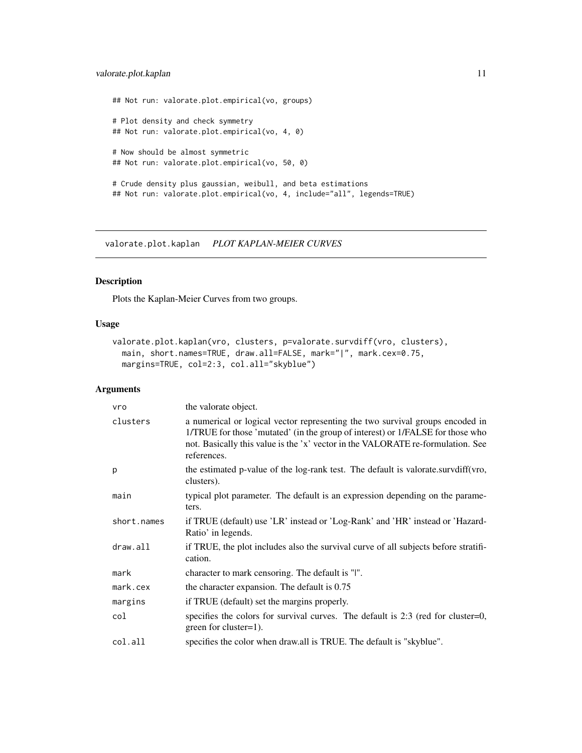<span id="page-10-0"></span>## Not run: valorate.plot.empirical(vo, groups) # Plot density and check symmetry ## Not run: valorate.plot.empirical(vo, 4, 0) # Now should be almost symmetric ## Not run: valorate.plot.empirical(vo, 50, 0) # Crude density plus gaussian, weibull, and beta estimations

## Not run: valorate.plot.empirical(vo, 4, include="all", legends=TRUE)

valorate.plot.kaplan *PLOT KAPLAN-MEIER CURVES*

#### Description

Plots the Kaplan-Meier Curves from two groups.

#### Usage

```
valorate.plot.kaplan(vro, clusters, p=valorate.survdiff(vro, clusters),
 main, short.names=TRUE, draw.all=FALSE, mark="|", mark.cex=0.75,
 margins=TRUE, col=2:3, col.all="skyblue")
```

| vro         | the valorate object.                                                                                                                                                                                                                                              |
|-------------|-------------------------------------------------------------------------------------------------------------------------------------------------------------------------------------------------------------------------------------------------------------------|
| clusters    | a numerical or logical vector representing the two survival groups encoded in<br>1/TRUE for those 'mutated' (in the group of interest) or 1/FALSE for those who<br>not. Basically this value is the 'x' vector in the VALORATE re-formulation. See<br>references. |
| p           | the estimated p-value of the log-rank test. The default is valorate.survdiff (vro,<br>clusters).                                                                                                                                                                  |
| main        | typical plot parameter. The default is an expression depending on the parame-<br>ters.                                                                                                                                                                            |
| short.names | if TRUE (default) use 'LR' instead or 'Log-Rank' and 'HR' instead or 'Hazard-<br>Ratio' in legends.                                                                                                                                                               |
| draw.all    | if TRUE, the plot includes also the survival curve of all subjects before stratifi-<br>cation.                                                                                                                                                                    |
| mark        | character to mark censoring. The default is "I".                                                                                                                                                                                                                  |
| mark. cex   | the character expansion. The default is 0.75                                                                                                                                                                                                                      |
| margins     | if TRUE (default) set the margins properly.                                                                                                                                                                                                                       |
| col         | specifies the colors for survival curves. The default is $2:3$ (red for cluster=0,<br>green for cluster=1).                                                                                                                                                       |
| col.all     | specifies the color when draw.all is TRUE. The default is "skyblue".                                                                                                                                                                                              |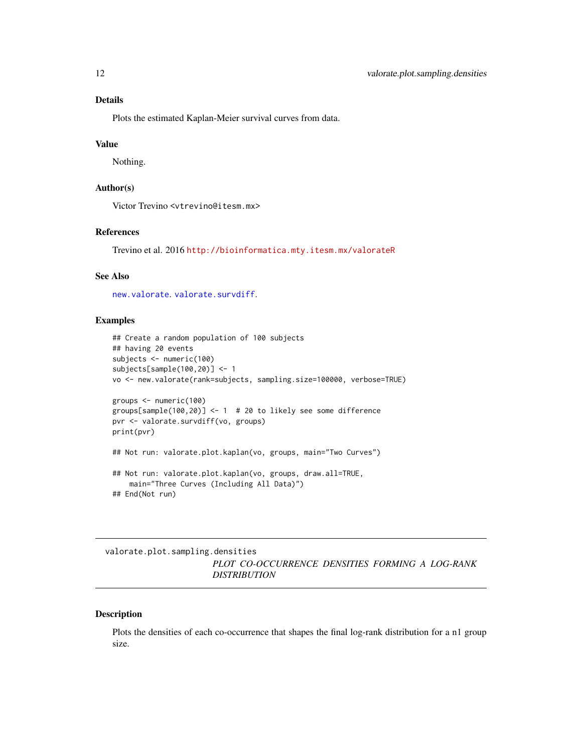<span id="page-11-0"></span>Plots the estimated Kaplan-Meier survival curves from data.

#### Value

Nothing.

#### Author(s)

Victor Trevino <vtrevino@itesm.mx>

#### References

Trevino et al. 2016 <http://bioinformatica.mty.itesm.mx/valorateR>

#### See Also

[new.valorate](#page-1-1). [valorate.survdiff](#page-16-1).

#### Examples

```
## Create a random population of 100 subjects
## having 20 events
subjects <- numeric(100)
subjects[sample(100,20)] <- 1
vo <- new.valorate(rank=subjects, sampling.size=100000, verbose=TRUE)
groups <- numeric(100)
groups[sample(100,20)] <- 1 # 20 to likely see some difference
pvr <- valorate.survdiff(vo, groups)
print(pvr)
## Not run: valorate.plot.kaplan(vo, groups, main="Two Curves")
## Not run: valorate.plot.kaplan(vo, groups, draw.all=TRUE,
   main="Three Curves (Including All Data)")
## End(Not run)
```
valorate.plot.sampling.densities *PLOT CO-OCCURRENCE DENSITIES FORMING A LOG-RANK DISTRIBUTION*

#### Description

Plots the densities of each co-occurrence that shapes the final log-rank distribution for a n1 group size.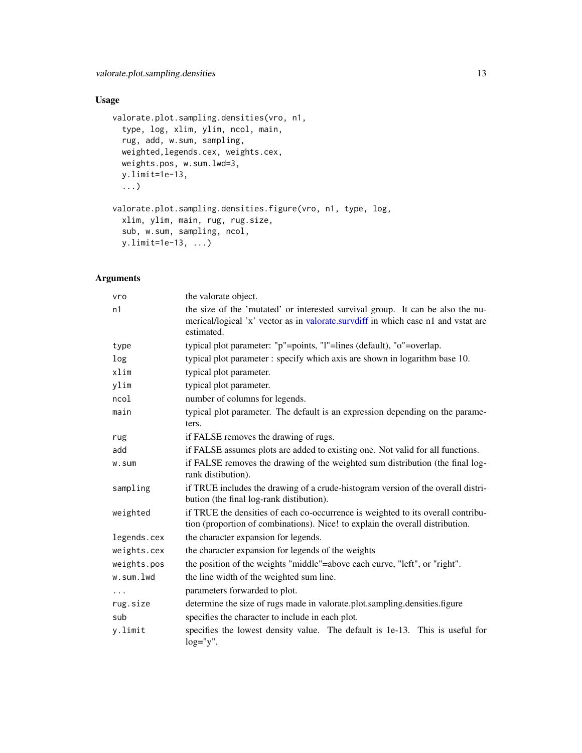#### Usage

```
valorate.plot.sampling.densities(vro, n1,
  type, log, xlim, ylim, ncol, main,
  rug, add, w.sum, sampling,
 weighted,legends.cex, weights.cex,
 weights.pos, w.sum.lwd=3,
 y.limit=1e-13,
  ...)
valorate.plot.sampling.densities.figure(vro, n1, type, log,
  xlim, ylim, main, rug, rug.size,
  sub, w.sum, sampling, ncol,
 y.limit=1e-13, ...)
```

| vro         | the valorate object.                                                                                                                                                              |
|-------------|-----------------------------------------------------------------------------------------------------------------------------------------------------------------------------------|
| n1          | the size of the 'mutated' or interested survival group. It can be also the nu-<br>merical/logical 'x' vector as in valorate.survdiff in which case n1 and vstat are<br>estimated. |
| type        | typical plot parameter: "p"=points, "l"=lines (default), "o"=overlap.                                                                                                             |
| log         | typical plot parameter : specify which axis are shown in logarithm base 10.                                                                                                       |
| xlim        | typical plot parameter.                                                                                                                                                           |
| ylim        | typical plot parameter.                                                                                                                                                           |
| ncol        | number of columns for legends.                                                                                                                                                    |
| main        | typical plot parameter. The default is an expression depending on the parame-<br>ters.                                                                                            |
| rug         | if FALSE removes the drawing of rugs.                                                                                                                                             |
| add         | if FALSE assumes plots are added to existing one. Not valid for all functions.                                                                                                    |
| w.sum       | if FALSE removes the drawing of the weighted sum distribution (the final log-<br>rank distibution).                                                                               |
| sampling    | if TRUE includes the drawing of a crude-histogram version of the overall distri-<br>bution (the final log-rank distibution).                                                      |
| weighted    | if TRUE the densities of each co-occurrence is weighted to its overall contribu-<br>tion (proportion of combinations). Nice! to explain the overall distribution.                 |
| legends.cex | the character expansion for legends.                                                                                                                                              |
| weights.cex | the character expansion for legends of the weights                                                                                                                                |
| weights.pos | the position of the weights "middle"=above each curve, "left", or "right".                                                                                                        |
| w.sum.lwd   | the line width of the weighted sum line.                                                                                                                                          |
| $\cdots$    | parameters forwarded to plot.                                                                                                                                                     |
| rug.size    | determine the size of rugs made in valorate.plot.sampling.densities.figure                                                                                                        |
| sub         | specifies the character to include in each plot.                                                                                                                                  |
| y.limit     | specifies the lowest density value. The default is 1e-13. This is useful for<br>$log="y".$                                                                                        |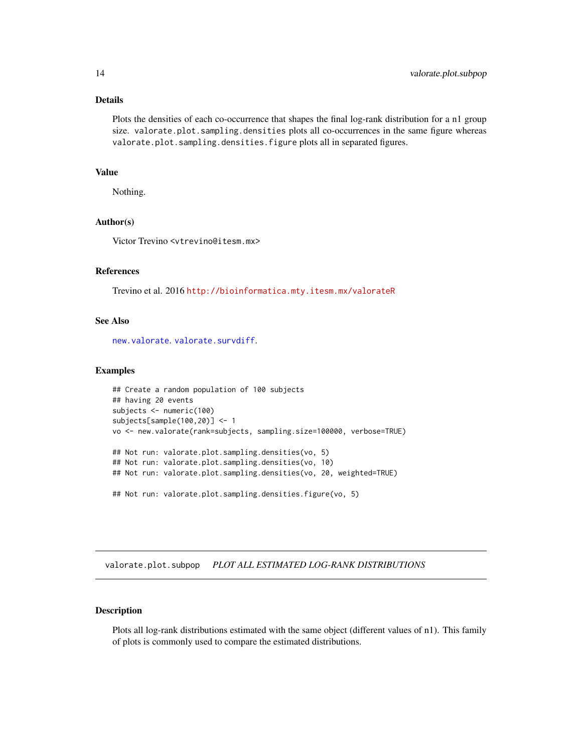<span id="page-13-0"></span>Plots the densities of each co-occurrence that shapes the final log-rank distribution for a n1 group size. valorate.plot.sampling.densities plots all co-occurrences in the same figure whereas valorate.plot.sampling.densities.figure plots all in separated figures.

#### Value

Nothing.

#### Author(s)

Victor Trevino <vtrevino@itesm.mx>

#### References

Trevino et al. 2016 <http://bioinformatica.mty.itesm.mx/valorateR>

#### See Also

[new.valorate](#page-1-1).[valorate.survdiff](#page-16-1).

#### Examples

```
## Create a random population of 100 subjects
## having 20 events
subjects <- numeric(100)
subjects[sample(100,20)] <- 1
vo <- new.valorate(rank=subjects, sampling.size=100000, verbose=TRUE)
## Not run: valorate.plot.sampling.densities(vo, 5)
## Not run: valorate.plot.sampling.densities(vo, 10)
## Not run: valorate.plot.sampling.densities(vo, 20, weighted=TRUE)
## Not run: valorate.plot.sampling.densities.figure(vo, 5)
```
valorate.plot.subpop *PLOT ALL ESTIMATED LOG-RANK DISTRIBUTIONS*

#### Description

Plots all log-rank distributions estimated with the same object (different values of n1). This family of plots is commonly used to compare the estimated distributions.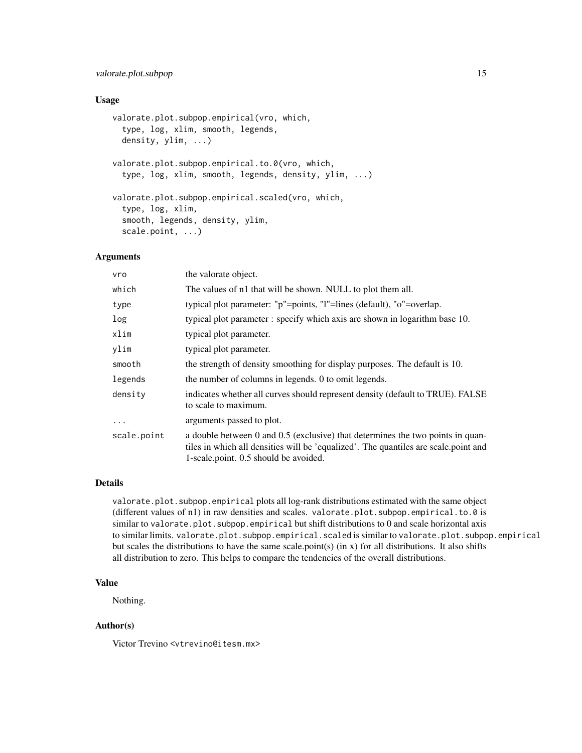#### valorate.plot.subpop 15

#### Usage

```
valorate.plot.subpop.empirical(vro, which,
  type, log, xlim, smooth, legends,
  density, ylim, ...)
valorate.plot.subpop.empirical.to.0(vro, which,
  type, log, xlim, smooth, legends, density, ylim, ...)
valorate.plot.subpop.empirical.scaled(vro, which,
  type, log, xlim,
  smooth, legends, density, ylim,
  scale.point, ...)
```
#### Arguments

| vro         | the valorate object.                                                                                                                                                                                            |
|-------------|-----------------------------------------------------------------------------------------------------------------------------------------------------------------------------------------------------------------|
| which       | The values of n1 that will be shown. NULL to plot them all.                                                                                                                                                     |
| type        | typical plot parameter: "p"=points, "l"=lines (default), "o"=overlap.                                                                                                                                           |
| log         | typical plot parameter : specify which axis are shown in logarithm base 10.                                                                                                                                     |
| xlim        | typical plot parameter.                                                                                                                                                                                         |
| ylim        | typical plot parameter.                                                                                                                                                                                         |
| smooth      | the strength of density smoothing for display purposes. The default is 10.                                                                                                                                      |
| legends     | the number of columns in legends. 0 to omit legends.                                                                                                                                                            |
| density     | indicates whether all curves should represent density (default to TRUE). FALSE<br>to scale to maximum.                                                                                                          |
| $\ddots$    | arguments passed to plot.                                                                                                                                                                                       |
| scale.point | a double between 0 and 0.5 (exclusive) that determines the two points in quan-<br>tiles in which all densities will be 'equalized'. The quantiles are scale, point and<br>1-scale.point. 0.5 should be avoided. |

#### Details

valorate.plot.subpop.empirical plots all log-rank distributions estimated with the same object (different values of n1) in raw densities and scales. valorate.plot.subpop.empirical.to.0 is similar to valorate.plot.subpop.empirical but shift distributions to 0 and scale horizontal axis to similar limits. valorate.plot.subpop.empirical.scaled is similar to valorate.plot.subpop.empirical but scales the distributions to have the same scale.point(s) (in x) for all distributions. It also shifts all distribution to zero. This helps to compare the tendencies of the overall distributions.

#### Value

Nothing.

#### Author(s)

Victor Trevino <vtrevino@itesm.mx>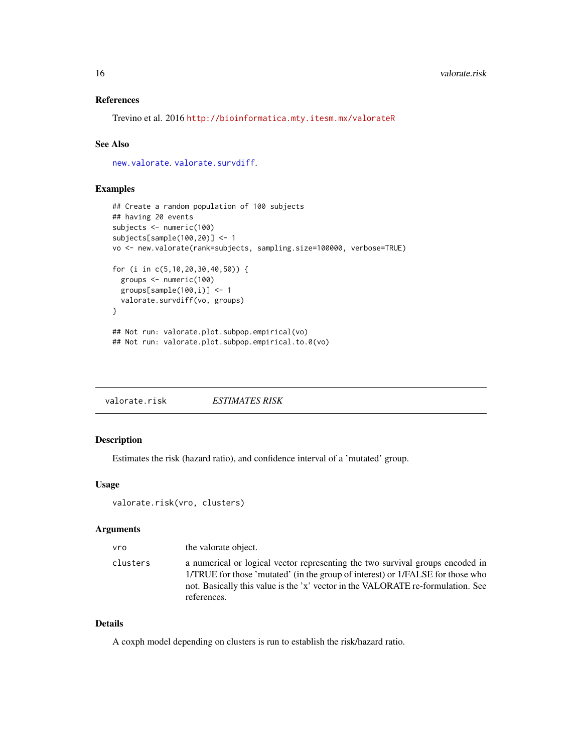#### <span id="page-15-0"></span>References

Trevino et al. 2016 <http://bioinformatica.mty.itesm.mx/valorateR>

#### See Also

[new.valorate](#page-1-1).[valorate.survdiff](#page-16-1).

#### Examples

```
## Create a random population of 100 subjects
## having 20 events
subjects <- numeric(100)
subjects[sample(100,20)] <- 1
vo <- new.valorate(rank=subjects, sampling.size=100000, verbose=TRUE)
for (i in c(5,10,20,30,40,50)) {
  groups <- numeric(100)
  groups[sample(100,i)] <- 1
  valorate.survdiff(vo, groups)
}
## Not run: valorate.plot.subpop.empirical(vo)
## Not run: valorate.plot.subpop.empirical.to.0(vo)
```
valorate.risk *ESTIMATES RISK*

#### Description

Estimates the risk (hazard ratio), and confidence interval of a 'mutated' group.

#### Usage

```
valorate.risk(vro, clusters)
```
#### Arguments

| vro      | the valorate object.                                                                                                                                                                                                                                              |
|----------|-------------------------------------------------------------------------------------------------------------------------------------------------------------------------------------------------------------------------------------------------------------------|
| clusters | a numerical or logical vector representing the two survival groups encoded in<br>1/TRUE for those 'mutated' (in the group of interest) or 1/FALSE for those who<br>not. Basically this value is the 'x' vector in the VALORATE re-formulation. See<br>references. |

#### Details

A coxph model depending on clusters is run to establish the risk/hazard ratio.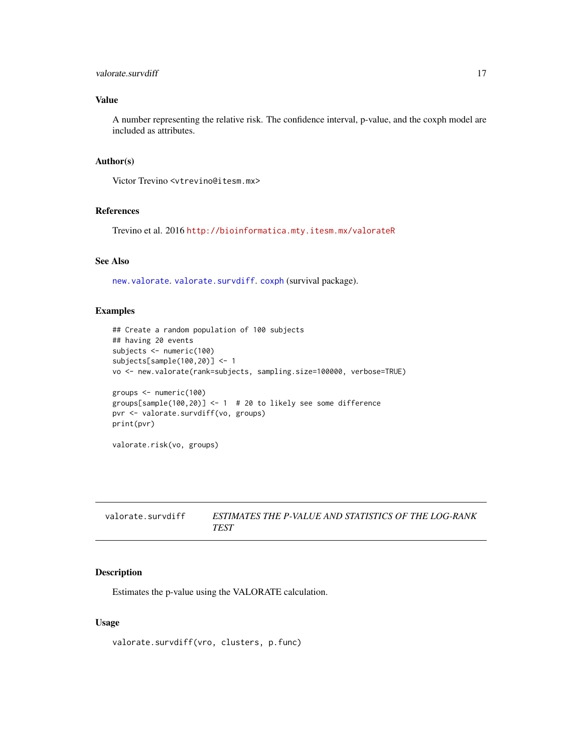#### <span id="page-16-0"></span>valorate.survdiff 17

#### Value

A number representing the relative risk. The confidence interval, p-value, and the coxph model are included as attributes.

#### Author(s)

Victor Trevino <vtrevino@itesm.mx>

#### References

Trevino et al. 2016 <http://bioinformatica.mty.itesm.mx/valorateR>

#### See Also

[new.valorate](#page-1-1).[valorate.survdiff](#page-16-1).[coxph](#page-0-0) (survival package).

#### Examples

```
## Create a random population of 100 subjects
## having 20 events
subjects <- numeric(100)
subjects[sample(100,20)] <- 1
vo <- new.valorate(rank=subjects, sampling.size=100000, verbose=TRUE)
groups <- numeric(100)
groups[sample(100,20)] <- 1 # 20 to likely see some difference
pvr <- valorate.survdiff(vo, groups)
print(pvr)
valorate.risk(vo, groups)
```
<span id="page-16-1"></span>valorate.survdiff *ESTIMATES THE P-VALUE AND STATISTICS OF THE LOG-RANK TEST*

#### Description

Estimates the p-value using the VALORATE calculation.

#### Usage

valorate.survdiff(vro, clusters, p.func)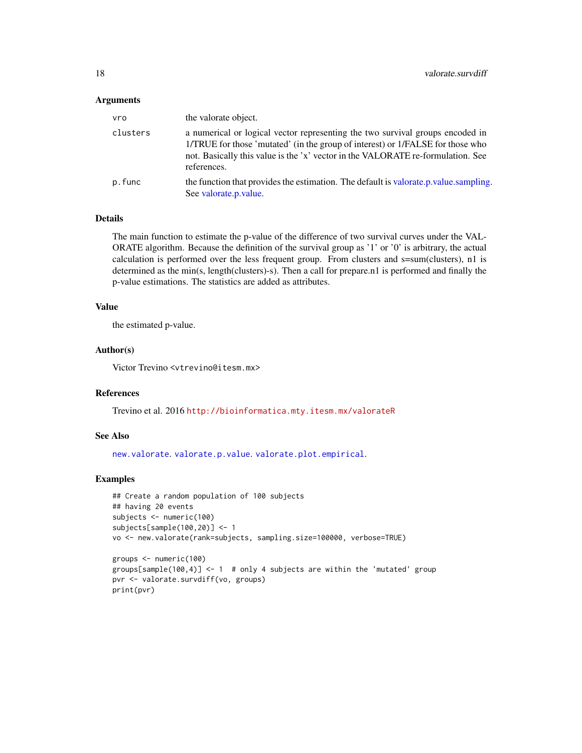#### <span id="page-17-0"></span>Arguments

| vro      | the valorate object.                                                                                                                                                                                                                                              |
|----------|-------------------------------------------------------------------------------------------------------------------------------------------------------------------------------------------------------------------------------------------------------------------|
| clusters | a numerical or logical vector representing the two survival groups encoded in<br>1/TRUE for those 'mutated' (in the group of interest) or 1/FALSE for those who<br>not. Basically this value is the 'x' vector in the VALORATE re-formulation. See<br>references. |
| p.func   | the function that provides the estimation. The default is valorate p value sampling.<br>See valorate.p.value.                                                                                                                                                     |

#### Details

The main function to estimate the p-value of the difference of two survival curves under the VAL-ORATE algorithm. Because the definition of the survival group as '1' or '0' is arbitrary, the actual calculation is performed over the less frequent group. From clusters and s=sum(clusters), n1 is determined as the min(s, length(clusters)-s). Then a call for prepare.n1 is performed and finally the p-value estimations. The statistics are added as attributes.

#### Value

the estimated p-value.

#### Author(s)

Victor Trevino <vtrevino@itesm.mx>

#### References

Trevino et al. 2016 <http://bioinformatica.mty.itesm.mx/valorateR>

#### See Also

[new.valorate](#page-1-1). [valorate.p.value](#page-6-1). [valorate.plot.empirical](#page-8-1).

#### Examples

```
## Create a random population of 100 subjects
## having 20 events
subjects <- numeric(100)
subjects[sample(100,20)] <- 1
vo <- new.valorate(rank=subjects, sampling.size=100000, verbose=TRUE)
```

```
groups <- numeric(100)
groups[sample(100,4)] <- 1 # only 4 subjects are within the 'mutated' group
pvr <- valorate.survdiff(vo, groups)
print(pvr)
```